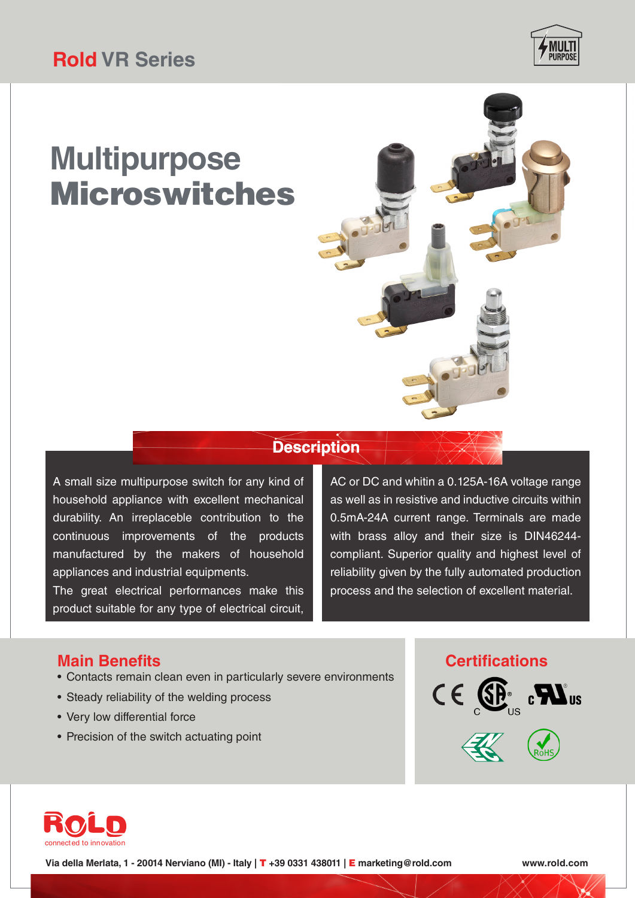# **Multipurpose** Microswitches



A small size multipurpose switch for any kind of household appliance with excellent mechanical durability. An irreplaceble contribution to the continuous improvements of the products manufactured by the makers of household appliances and industrial equipments.

The great electrical performances make this product suitable for any type of electrical circuit, AC or DC and whitin a 0.125A-16A voltage range as well as in resistive and inductive circuits within 0.5mA-24A current range. Terminals are made with brass alloy and their size is DIN46244 compliant. Superior quality and highest level of reliability given by the fully automated production process and the selection of excellent material.

#### **Main Benefits**

- Contacts remain clean even in particularly severe environments
- Steady reliability of the welding process
- Very low differential force
- Precision of the switch actuating point

#### **Certifications**